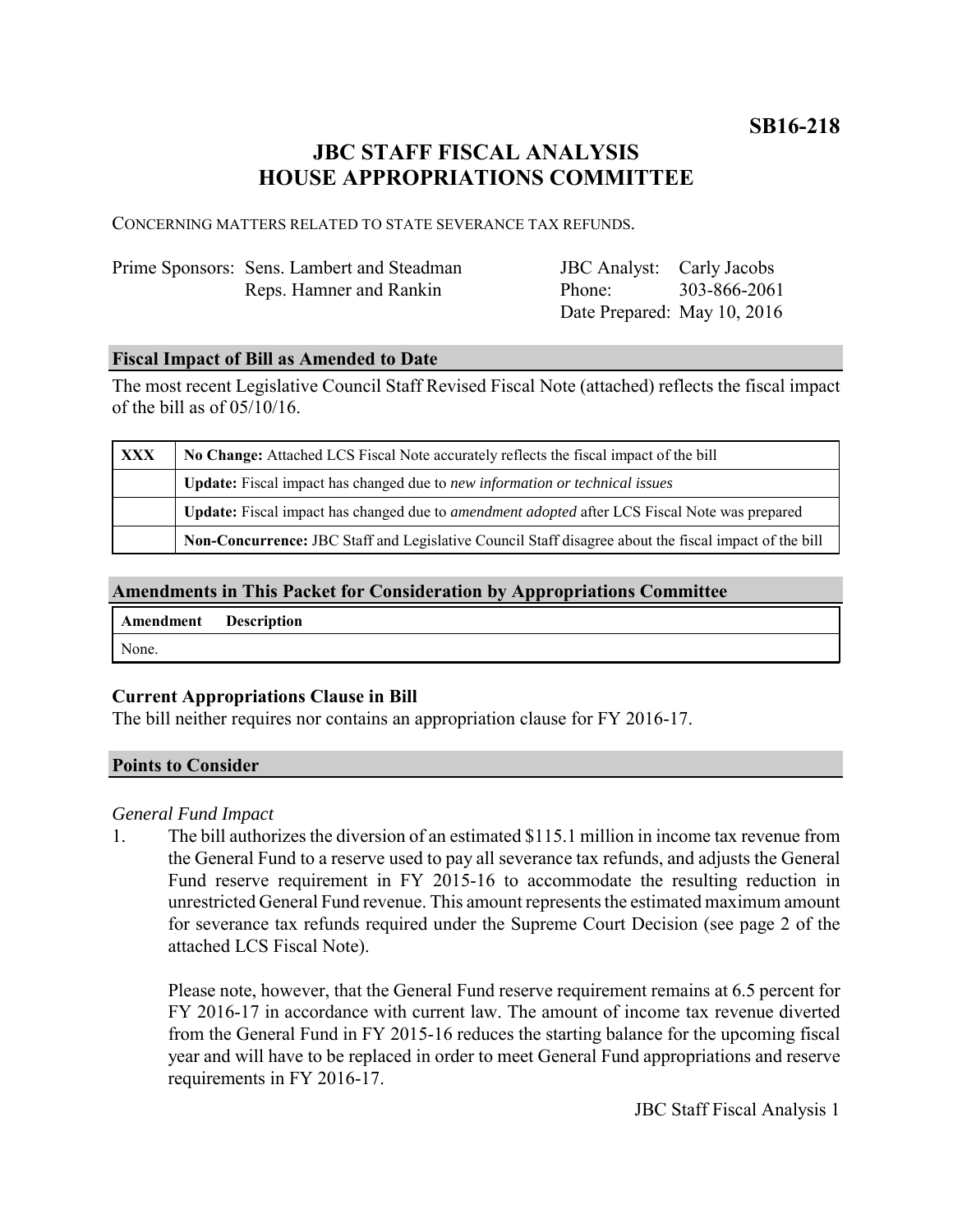**SB16-218**

# **JBC STAFF FISCAL ANALYSIS HOUSE APPROPRIATIONS COMMITTEE**

CONCERNING MATTERS RELATED TO STATE SEVERANCE TAX REFUNDS.

| Prime Sponsors: Sens. Lambert and Steadman |
|--------------------------------------------|
| Reps. Hamner and Rankin                    |

| <b>JBC</b> Analyst:         | Carly Jacobs |
|-----------------------------|--------------|
| Phone:                      | 303-866-2061 |
| Date Prepared: May 10, 2016 |              |

### **Fiscal Impact of Bill as Amended to Date**

The most recent Legislative Council Staff Revised Fiscal Note (attached) reflects the fiscal impact of the bill as of 05/10/16.

| <b>XXX</b> | No Change: Attached LCS Fiscal Note accurately reflects the fiscal impact of the bill                       |  |
|------------|-------------------------------------------------------------------------------------------------------------|--|
|            | <b>Update:</b> Fiscal impact has changed due to new information or technical issues                         |  |
|            | <b>Update:</b> Fiscal impact has changed due to <i>amendment adopted</i> after LCS Fiscal Note was prepared |  |
|            | Non-Concurrence: JBC Staff and Legislative Council Staff disagree about the fiscal impact of the bill       |  |

## **Amendments in This Packet for Consideration by Appropriations Committee**

| <b>Amendment</b> Description |  |
|------------------------------|--|
| None.                        |  |

## **Current Appropriations Clause in Bill**

The bill neither requires nor contains an appropriation clause for FY 2016-17.

### **Points to Consider**

### *General Fund Impact*

1. The bill authorizes the diversion of an estimated \$115.1 million in income tax revenue from the General Fund to a reserve used to pay all severance tax refunds, and adjusts the General Fund reserve requirement in FY 2015-16 to accommodate the resulting reduction in unrestricted General Fund revenue. This amount represents the estimated maximum amount for severance tax refunds required under the Supreme Court Decision (see page 2 of the attached LCS Fiscal Note).

Please note, however, that the General Fund reserve requirement remains at 6.5 percent for FY 2016-17 in accordance with current law. The amount of income tax revenue diverted from the General Fund in FY 2015-16 reduces the starting balance for the upcoming fiscal year and will have to be replaced in order to meet General Fund appropriations and reserve requirements in FY 2016-17.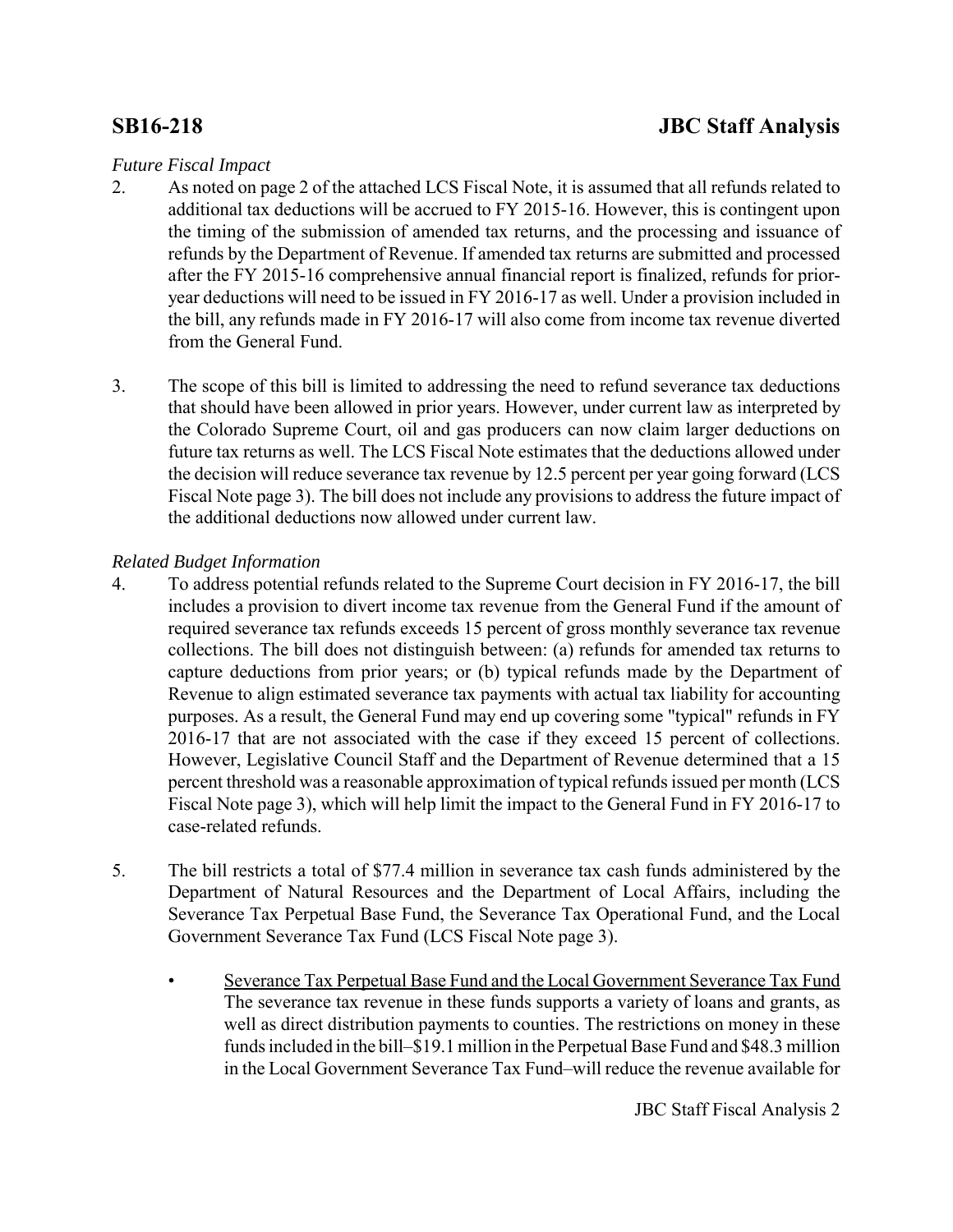# **SB16-218 JBC Staff Analysis**

# *Future Fiscal Impact*

- 2. As noted on page 2 of the attached LCS Fiscal Note, it is assumed that all refunds related to additional tax deductions will be accrued to FY 2015-16. However, this is contingent upon the timing of the submission of amended tax returns, and the processing and issuance of refunds by the Department of Revenue. If amended tax returns are submitted and processed after the FY 2015-16 comprehensive annual financial report is finalized, refunds for prioryear deductions will need to be issued in FY 2016-17 as well. Under a provision included in the bill, any refunds made in FY 2016-17 will also come from income tax revenue diverted from the General Fund.
- 3. The scope of this bill is limited to addressing the need to refund severance tax deductions that should have been allowed in prior years. However, under current law as interpreted by the Colorado Supreme Court, oil and gas producers can now claim larger deductions on future tax returns as well. The LCS Fiscal Note estimates that the deductions allowed under the decision will reduce severance tax revenue by 12.5 percent per year going forward (LCS Fiscal Note page 3). The bill does not include any provisions to address the future impact of the additional deductions now allowed under current law.

# *Related Budget Information*

- 4. To address potential refunds related to the Supreme Court decision in FY 2016-17, the bill includes a provision to divert income tax revenue from the General Fund if the amount of required severance tax refunds exceeds 15 percent of gross monthly severance tax revenue collections. The bill does not distinguish between: (a) refunds for amended tax returns to capture deductions from prior years; or (b) typical refunds made by the Department of Revenue to align estimated severance tax payments with actual tax liability for accounting purposes. As a result, the General Fund may end up covering some "typical" refunds in FY 2016-17 that are not associated with the case if they exceed 15 percent of collections. However, Legislative Council Staff and the Department of Revenue determined that a 15 percent threshold was a reasonable approximation of typical refunds issued per month (LCS Fiscal Note page 3), which will help limit the impact to the General Fund in FY 2016-17 to case-related refunds.
- 5. The bill restricts a total of \$77.4 million in severance tax cash funds administered by the Department of Natural Resources and the Department of Local Affairs, including the Severance Tax Perpetual Base Fund, the Severance Tax Operational Fund, and the Local Government Severance Tax Fund (LCS Fiscal Note page 3).
	- Severance Tax Perpetual Base Fund and the Local Government Severance Tax Fund The severance tax revenue in these funds supports a variety of loans and grants, as well as direct distribution payments to counties. The restrictions on money in these funds included in the bill–\$19.1 million in the Perpetual Base Fund and \$48.3 million in the Local Government Severance Tax Fund–will reduce the revenue available for